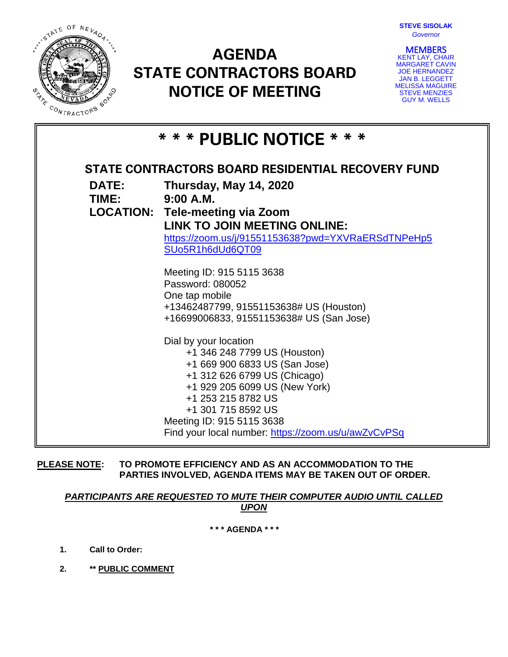

# **AGENDA STATE CONTRACTORS BOARD NOTICE OF MEETING**



**MEMBERS**<br>KENT LAY, CHAIR MARGARET CAVIN JOE HERNANDEZ JAN B. LEGGETT MELISSA MAGUIRE STEVE MENZIES GUY M. WELLS

| * * * PUBLIC NOTICE * * *                         |                                                                                                                                                                                                                                                                                         |
|---------------------------------------------------|-----------------------------------------------------------------------------------------------------------------------------------------------------------------------------------------------------------------------------------------------------------------------------------------|
| STATE CONTRACTORS BOARD RESIDENTIAL RECOVERY FUND |                                                                                                                                                                                                                                                                                         |
| <b>DATE:</b><br>TIME: 9:00 A.M.                   | Thursday, May 14, 2020<br><b>LOCATION: Tele-meeting via Zoom</b>                                                                                                                                                                                                                        |
|                                                   | LINK TO JOIN MEETING ONLINE:<br>https://zoom.us/j/91551153638?pwd=YXVRaERSdTNPeHp5<br>SUo5R1h6dUd6QT09                                                                                                                                                                                  |
|                                                   | Meeting ID: 915 5115 3638<br>Password: 080052<br>One tap mobile                                                                                                                                                                                                                         |
|                                                   | +13462487799, 91551153638# US (Houston)<br>+16699006833, 91551153638# US (San Jose)                                                                                                                                                                                                     |
|                                                   | Dial by your location<br>+1 346 248 7799 US (Houston)<br>+1 669 900 6833 US (San Jose)<br>+1 312 626 6799 US (Chicago)<br>+1 929 205 6099 US (New York)<br>+1 253 215 8782 US<br>+1 301 715 8592 US<br>Meeting ID: 915 5115 3638<br>Find your local number: https://zoom.us/u/awZvCvPSq |

**PLEASE NOTE: TO PROMOTE EFFICIENCY AND AS AN ACCOMMODATION TO THE PARTIES INVOLVED, AGENDA ITEMS MAY BE TAKEN OUT OF ORDER.**

*PARTICIPANTS ARE REQUESTED TO MUTE THEIR COMPUTER AUDIO UNTIL CALLED UPON*

**\* \* \* AGENDA \* \* \***

**1. Call to Order:**

**2. \*\* PUBLIC COMMENT**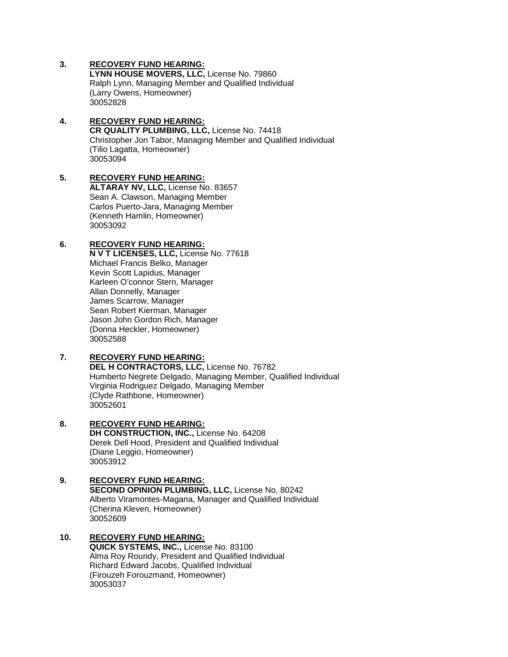# **3. RECOVERY FUND HEARING:**

**LYNN HOUSE MOVERS, LLC,** License No. 79860 Ralph Lynn, Managing Member and Qualified Individual (Larry Owens, Homeowner) 30052828

#### **4. RECOVERY FUND HEARING: CR QUALITY PLUMBING, LLC,** License No. 74418 Christopher Jon Tabor, Managing Member and Qualified Individual (Tilio Lagatta, Homeowner) 30053094

#### **5. RECOVERY FUND HEARING: ALTARAY NV, LLC,** License No. 83657 Sean A. Clawson, Managing Member Carlos Puerto-Jara, Managing Member (Kenneth Hamlin, Homeowner) 30053092

# **6. RECOVERY FUND HEARING:**

**N V T LICENSES, LLC,** License No. 77618 Michael Francis Belko, Manager Kevin Scott Lapidus, Manager Karleen O'connor Stern, Manager Allan Donnelly, Manager James Scarrow, Manager Sean Robert Kierman, Manager Jason John Gordon Rich, Manager (Donna Heckler, Homeowner) 30052588

# **7. RECOVERY FUND HEARING:**

**DEL H CONTRACTORS, LLC,** License No. 76782 Humberto Negrete Delgado, Managing Member, Qualified Individual Virginia Rodriguez Delgado, Managing Member (Clyde Rathbone, Homeowner) 30052601

#### **8. RECOVERY FUND HEARING: DH CONSTRUCTION, INC.,** License No. 64208 Derek Dell Hood, President and Qualified Individual (Diane Leggio, Homeowner) 30053912

### **9. RECOVERY FUND HEARING: SECOND OPINION PLUMBING, LLC,** License No. 80242 Alberto Viramontes-Magana, Manager and Qualified Individual (Cherina Kleven, Homeowner) 30052609

# **10. RECOVERY FUND HEARING: QUICK SYSTEMS, INC.,** License No. 83100 Alma Roy Roundy, President and Qualified Individual

Richard Edward Jacobs, Qualified Individual (Firouzeh Forouzmand, Homeowner) 30053037